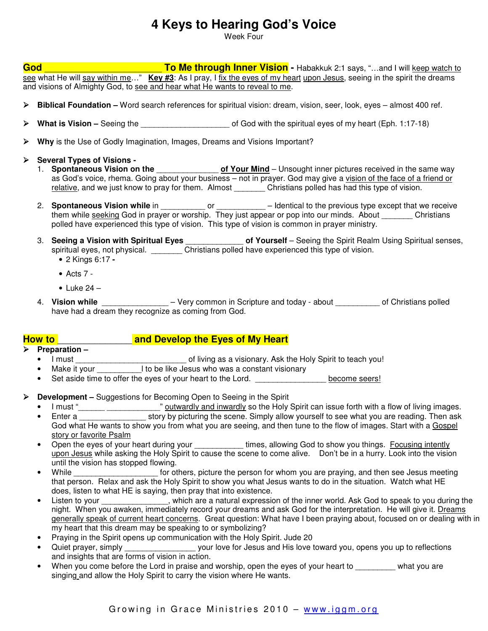## **4 Keys to Hearing God's Voice**

Week Four

**God God Example 2:1 says, "** To Me through Inner Vision - Habakkuk 2:1 says, "...and I will keep watch to see what He will say within me…" **Key #3**: As I pray, I fix the eyes of my heart upon Jesus, seeing in the spirit the dreams and visions of Almighty God, to see and hear what He wants to reveal to me.

- **Biblical Foundation** Word search references for spiritual vision: dream, vision, seer, look, eyes almost 400 ref.
- **What is Vision –** Seeing the **and the set of God with the spiritual eyes of my heart (Eph. 1:17-18)**
- **Why** is the Use of Godly Imagination, Images, Dreams and Visions Important?
- **Several Types of Visions** 
	- 1. **Spontaneous Vision on the** \_\_\_\_\_\_\_\_\_\_\_\_\_\_ **of Your Mind** Unsought inner pictures received in the same way as God's voice, rhema. Going about your business – not in prayer. God may give a vision of the face of a friend or relative, and we just know to pray for them. Almost \_\_\_\_\_\_\_\_\_ Christians polled has had this type of vision.
	- 2. **Spontaneous Vision while** in \_\_\_\_\_\_\_\_\_\_ or \_\_\_\_\_\_\_\_\_\_\_ Identical to the previous type except that we receive them while seeking God in prayer or worship. They just appear or pop into our minds. About Christians polled have experienced this type of vision. This type of vision is common in prayer ministry.
	- 3. **Seeing a Vision with Spiritual Eyes** \_\_\_\_\_\_\_\_\_\_\_\_\_ **of Yourself** Seeing the Spirit Realm Using Spiritual senses, spiritual eyes, not physical. \_\_\_\_\_\_\_\_ Christians polled have experienced this type of vision.
		- 2 Kings 6:17
		- $\bullet$  Acts 7 -
		- Luke  $24 -$
	- 4. **Vision while** \_\_\_\_\_\_\_\_\_\_\_\_\_\_\_ Very common in Scripture and today about \_\_\_\_\_\_\_\_\_\_ of Christians polled have had a dream they recognize as coming from God.

## **How to** \_\_\_\_\_\_\_\_\_\_\_\_\_\_ **and Develop the Eyes of My Heart**

- **Preparation** 
	- I must \_\_\_\_\_\_\_\_\_\_\_\_\_\_\_\_\_\_\_\_\_\_\_\_\_ of living as a visionary. Ask the Holy Spirit to teach you!
	- Make it your \_\_\_\_\_\_\_\_\_\_\_\_\_\_I to be like Jesus who was a constant visionary
	- Set aside time to offer the eyes of your heart to the Lord. \_\_\_\_\_\_\_\_\_\_\_\_\_\_\_\_\_\_ become seers!
- **Development** Suggestions for Becoming Open to Seeing in the Spirit
	- I must "\_\_\_\_\_\_ \_\_\_\_\_\_\_\_\_\_\_\_\_\_\_" outwardly and inwardly so the Holy Spirit can issue forth with a flow of living images.
	- Enter a story by picturing the scene. Simply allow yourself to see what you are reading. Then ask God what He wants to show you from what you are seeing, and then tune to the flow of images. Start with a Gospel story or favorite Psalm
	- Open the eyes of your heart during your \_\_\_\_\_\_\_\_\_\_\_\_\_ times, allowing God to show you things. Focusing intently upon Jesus while asking the Holy Spirit to cause the scene to come alive. Don't be in a hurry. Look into the vision until the vision has stopped flowing.
	- While **Example 19 September 10** for others, picture the person for whom you are praying, and then see Jesus meeting that person. Relax and ask the Holy Spirit to show you what Jesus wants to do in the situation. Watch what HE does, listen to what HE is saying, then pray that into existence.
	- Listen to your \_\_\_\_\_\_\_\_\_\_\_\_\_, which are a natural expression of the inner world. Ask God to speak to you during the night. When you awaken, immediately record your dreams and ask God for the interpretation. He will give it. Dreams generally speak of current heart concerns. Great question: What have I been praying about, focused on or dealing with in my heart that this dream may be speaking to or symbolizing?
	- Praying in the Spirit opens up communication with the Holy Spirit. Jude 20
	- Quiet prayer, simply \_\_\_\_\_\_\_\_\_\_\_\_\_\_\_\_\_\_\_\_ your love for Jesus and His love toward you, opens you up to reflections and insights that are forms of vision in action.
	- When you come before the Lord in praise and worship, open the eyes of your heart to what you are singing and allow the Holy Spirit to carry the vision where He wants.